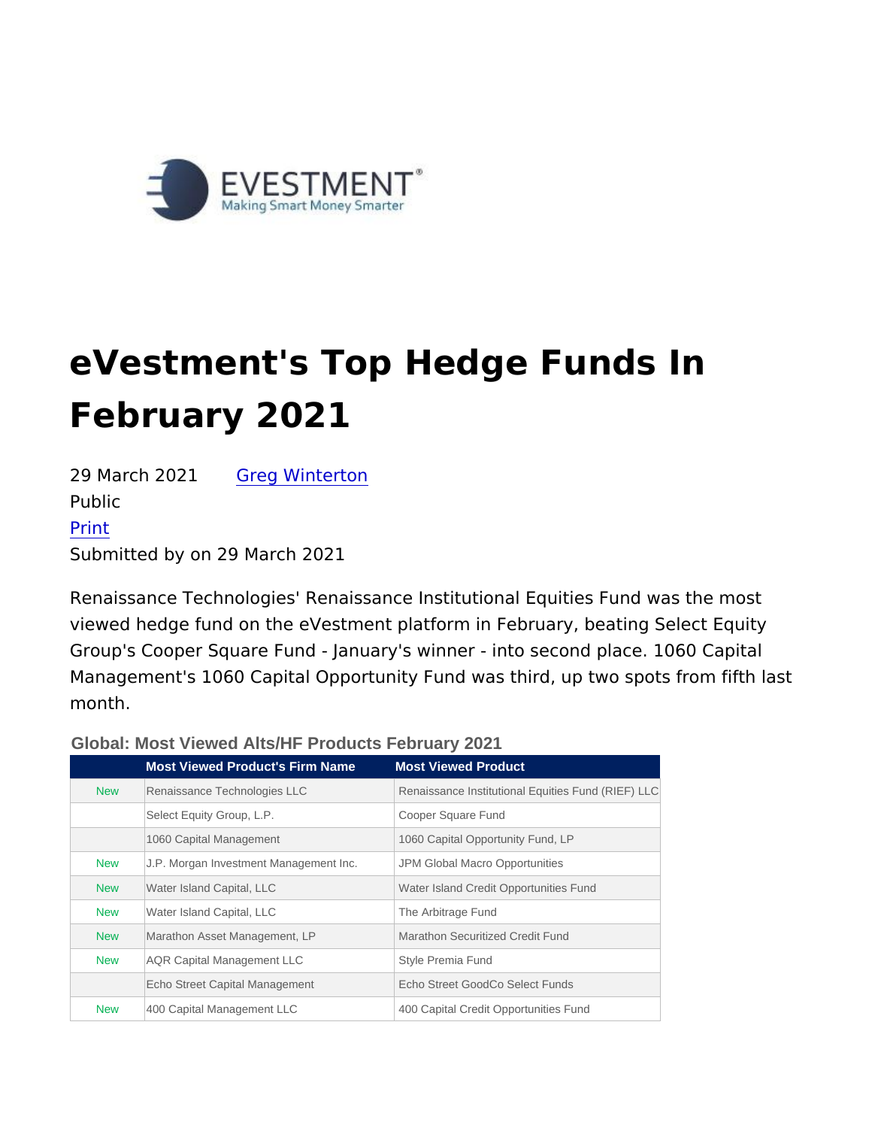## eVestment's Top Hedge Funds In February 2021

29 March 2021[Greg Winte](https://alpha-week.com/author/greg-winterton)rton Public [Pri](https://alpha-week.com/print/pdf/node/8008)nt Submitted by on 29 March 2021

Renaissance Technologies' Renaissance Institutional Equities Fur viewed hedge fund on the eVestment platform in February, beating Group's Cooper Square Fund - January's winner - into second pla Management's 1060 Capital Opportunity Fund was third, up two sp month.

Global: Most Viewed Alts/HF Products February 2021

|            | Most Viewed Product's Firm Name        | <b>Most Viewed Product</b>                         |
|------------|----------------------------------------|----------------------------------------------------|
| <b>New</b> | Renaissance Technologies LLC           | Renaissance Institutional Equities Fund (RIEF) LLC |
|            | Select Equity Group, L.P.              | Cooper Square Fund                                 |
|            | 1060 Capital Management                | 1060 Capital Opportunity Fund, LP                  |
| <b>New</b> | J.P. Morgan Investment Management Inc. | JPM Global Macro Opportunities                     |
| <b>New</b> | Water Island Capital, LLC              | Water Island Credit Opportunities Fund             |
| <b>New</b> | Water Island Capital, LLC              | The Arbitrage Fund                                 |
| <b>New</b> | Marathon Asset Management, LP          | <b>Marathon Securitized Credit Fund</b>            |
| <b>New</b> | <b>AQR Capital Management LLC</b>      | Style Premia Fund                                  |
|            | Echo Street Capital Management         | Echo Street GoodCo Select Funds                    |
| <b>New</b> | 400 Capital Management LLC             | 400 Capital Credit Opportunities Fund              |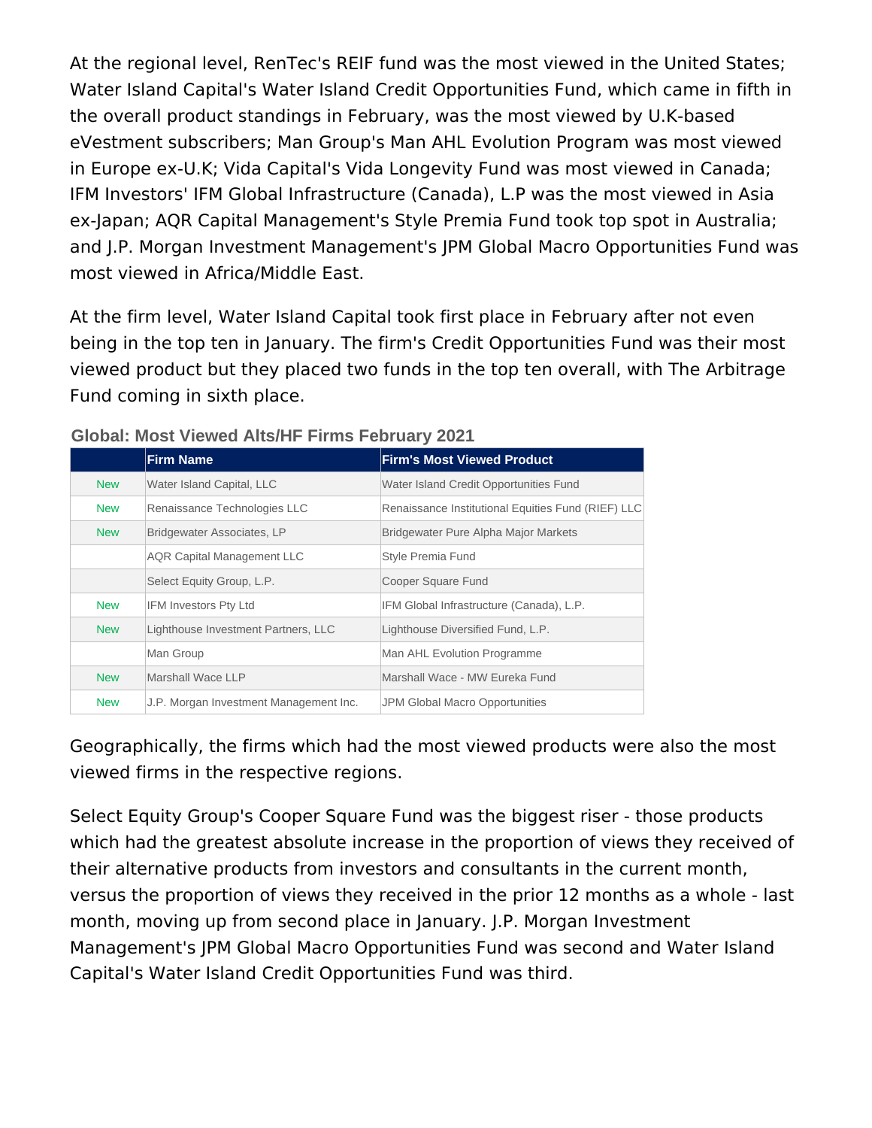At the regional level, RenTec's REIF fund was the most viewed in the United States; Water Island Capital's Water Island Credit Opportunities Fund, which came in fifth in the overall product standings in February, was the most viewed by U.K-based eVestment subscribers; Man Group's Man AHL Evolution Program was most viewed in Europe ex-U.K; Vida Capital's Vida Longevity Fund was most viewed in Canada; IFM Investors' IFM Global Infrastructure (Canada), L.P was the most viewed in Asia ex-Japan; AQR Capital Management's Style Premia Fund took top spot in Australia; and J.P. Morgan Investment Management's JPM Global Macro Opportunities Fund was most viewed in Africa/Middle East.

At the firm level, Water Island Capital took first place in February after not even being in the top ten in January. The firm's Credit Opportunities Fund was their most viewed product but they placed two funds in the top ten overall, with The Arbitrage Fund coming in sixth place.

|            | <b>Firm Name</b>                       | <b>Firm's Most Viewed Product</b>                  |
|------------|----------------------------------------|----------------------------------------------------|
| <b>New</b> | Water Island Capital, LLC              | Water Island Credit Opportunities Fund             |
| <b>New</b> | Renaissance Technologies LLC           | Renaissance Institutional Equities Fund (RIEF) LLC |
| <b>New</b> | Bridgewater Associates, LP             | Bridgewater Pure Alpha Major Markets               |
|            | <b>AQR Capital Management LLC</b>      | Style Premia Fund                                  |
|            | Select Equity Group, L.P.              | Cooper Square Fund                                 |
| <b>New</b> | <b>IFM Investors Pty Ltd</b>           | IFM Global Infrastructure (Canada), L.P.           |
| <b>New</b> | Lighthouse Investment Partners, LLC    | Lighthouse Diversified Fund, L.P.                  |
|            | Man Group                              | Man AHL Evolution Programme                        |
| <b>New</b> | Marshall Wace LLP                      | Marshall Wace - MW Eureka Fund                     |
| <b>New</b> | J.P. Morgan Investment Management Inc. | JPM Global Macro Opportunities                     |

## **Global: Most Viewed Alts/HF Firms February 2021**

Geographically, the firms which had the most viewed products were also the most viewed firms in the respective regions.

Select Equity Group's Cooper Square Fund was the biggest riser - those products which had the greatest absolute increase in the proportion of views they received of their alternative products from investors and consultants in the current month, versus the proportion of views they received in the prior 12 months as a whole - last month, moving up from second place in January. J.P. Morgan Investment Management's JPM Global Macro Opportunities Fund was second and Water Island Capital's Water Island Credit Opportunities Fund was third.